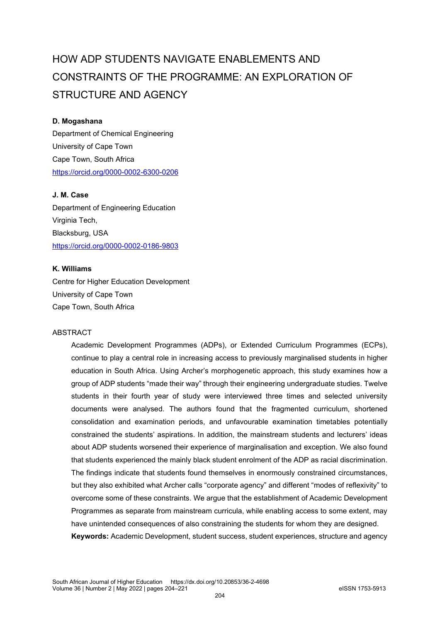# HOW ADP STUDENTS NAVIGATE ENABLEMENTS AND CONSTRAINTS OF THE PROGRAMME: AN EXPLORATION OF STRUCTURE AND AGENCY

### **D. Mogashana**

Department of Chemical Engineering University of Cape Town Cape Town, South Africa <https://orcid.org/0000-0002-6300-0206>

#### **J. M. Case**

Department of Engineering Education Virginia Tech, Blacksburg, USA <https://orcid.org/0000-0002-0186-9803>

#### **K. Williams**

Centre for Higher Education Development University of Cape Town Cape Town, South Africa

#### **ABSTRACT**

Academic Development Programmes (ADPs), or Extended Curriculum Programmes (ECPs), continue to play a central role in increasing access to previously marginalised students in higher education in South Africa. Using Archer's morphogenetic approach, this study examines how a group of ADP students "made their way" through their engineering undergraduate studies. Twelve students in their fourth year of study were interviewed three times and selected university documents were analysed. The authors found that the fragmented curriculum, shortened consolidation and examination periods, and unfavourable examination timetables potentially constrained the students' aspirations. In addition, the mainstream students and lecturers' ideas about ADP students worsened their experience of marginalisation and exception. We also found that students experienced the mainly black student enrolment of the ADP as racial discrimination. The findings indicate that students found themselves in enormously constrained circumstances, but they also exhibited what Archer calls "corporate agency" and different "modes of reflexivity" to overcome some of these constraints. We argue that the establishment of Academic Development Programmes as separate from mainstream curricula, while enabling access to some extent, may have unintended consequences of also constraining the students for whom they are designed. **Keywords:** Academic Development, student success, student experiences, structure and agency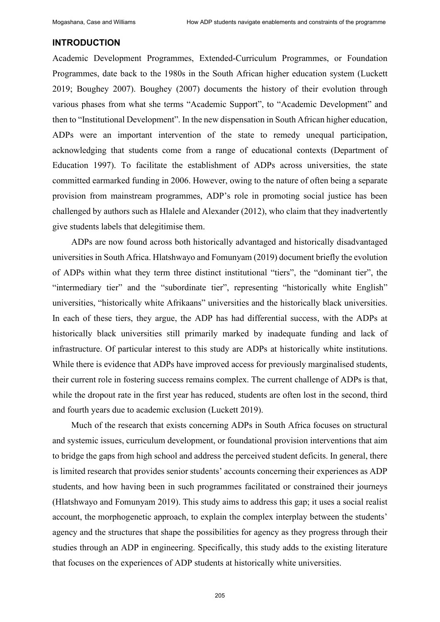#### **INTRODUCTION**

Academic Development Programmes, Extended-Curriculum Programmes, or Foundation Programmes, date back to the 1980s in the South African higher education system (Luckett 2019; Boughey 2007). Boughey (2007) documents the history of their evolution through various phases from what she terms "Academic Support", to "Academic Development" and then to "Institutional Development". In the new dispensation in South African higher education, ADPs were an important intervention of the state to remedy unequal participation, acknowledging that students come from a range of educational contexts (Department of Education 1997). To facilitate the establishment of ADPs across universities, the state committed earmarked funding in 2006. However, owing to the nature of often being a separate provision from mainstream programmes, ADP's role in promoting social justice has been challenged by authors such as Hlalele and Alexander (2012), who claim that they inadvertently give students labels that delegitimise them.

ADPs are now found across both historically advantaged and historically disadvantaged universities in South Africa. Hlatshwayo and Fomunyam (2019) document briefly the evolution of ADPs within what they term three distinct institutional "tiers", the "dominant tier", the "intermediary tier" and the "subordinate tier", representing "historically white English" universities, "historically white Afrikaans" universities and the historically black universities. In each of these tiers, they argue, the ADP has had differential success, with the ADPs at historically black universities still primarily marked by inadequate funding and lack of infrastructure. Of particular interest to this study are ADPs at historically white institutions. While there is evidence that ADPs have improved access for previously marginalised students, their current role in fostering success remains complex. The current challenge of ADPs is that, while the dropout rate in the first year has reduced, students are often lost in the second, third and fourth years due to academic exclusion (Luckett 2019).

Much of the research that exists concerning ADPs in South Africa focuses on structural and systemic issues, curriculum development, or foundational provision interventions that aim to bridge the gaps from high school and address the perceived student deficits. In general, there is limited research that provides senior students' accounts concerning their experiences as ADP students, and how having been in such programmes facilitated or constrained their journeys (Hlatshwayo and Fomunyam 2019). This study aims to address this gap; it uses a social realist account, the morphogenetic approach, to explain the complex interplay between the students' agency and the structures that shape the possibilities for agency as they progress through their studies through an ADP in engineering. Specifically, this study adds to the existing literature that focuses on the experiences of ADP students at historically white universities.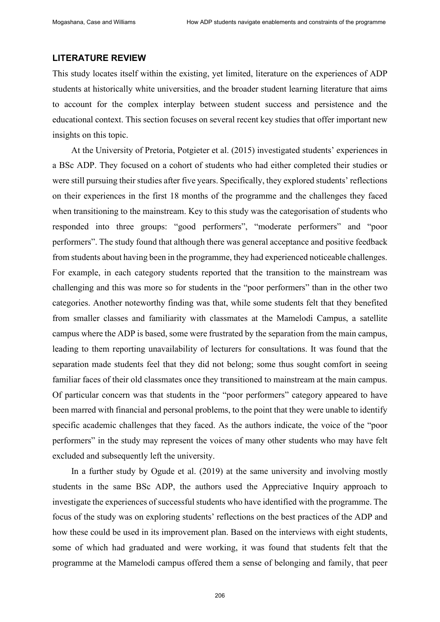#### **LITERATURE REVIEW**

This study locates itself within the existing, yet limited, literature on the experiences of ADP students at historically white universities, and the broader student learning literature that aims to account for the complex interplay between student success and persistence and the educational context. This section focuses on several recent key studies that offer important new insights on this topic.

At the University of Pretoria, Potgieter et al. (2015) investigated students' experiences in a BSc ADP. They focused on a cohort of students who had either completed their studies or were still pursuing their studies after five years. Specifically, they explored students' reflections on their experiences in the first 18 months of the programme and the challenges they faced when transitioning to the mainstream. Key to this study was the categorisation of students who responded into three groups: "good performers", "moderate performers" and "poor performers". The study found that although there was general acceptance and positive feedback from students about having been in the programme, they had experienced noticeable challenges. For example, in each category students reported that the transition to the mainstream was challenging and this was more so for students in the "poor performers" than in the other two categories. Another noteworthy finding was that, while some students felt that they benefited from smaller classes and familiarity with classmates at the Mamelodi Campus, a satellite campus where the ADP is based, some were frustrated by the separation from the main campus, leading to them reporting unavailability of lecturers for consultations. It was found that the separation made students feel that they did not belong; some thus sought comfort in seeing familiar faces of their old classmates once they transitioned to mainstream at the main campus. Of particular concern was that students in the "poor performers" category appeared to have been marred with financial and personal problems, to the point that they were unable to identify specific academic challenges that they faced. As the authors indicate, the voice of the "poor performers" in the study may represent the voices of many other students who may have felt excluded and subsequently left the university.

In a further study by Ogude et al. (2019) at the same university and involving mostly students in the same BSc ADP, the authors used the Appreciative Inquiry approach to investigate the experiences of successful students who have identified with the programme. The focus of the study was on exploring students' reflections on the best practices of the ADP and how these could be used in its improvement plan. Based on the interviews with eight students, some of which had graduated and were working, it was found that students felt that the programme at the Mamelodi campus offered them a sense of belonging and family, that peer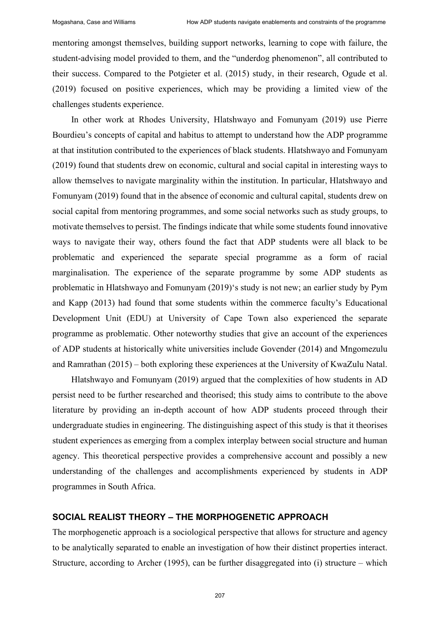mentoring amongst themselves, building support networks, learning to cope with failure, the student-advising model provided to them, and the "underdog phenomenon", all contributed to their success. Compared to the Potgieter et al. (2015) study, in their research, Ogude et al. (2019) focused on positive experiences, which may be providing a limited view of the challenges students experience.

In other work at Rhodes University, Hlatshwayo and Fomunyam (2019) use Pierre Bourdieu's concepts of capital and habitus to attempt to understand how the ADP programme at that institution contributed to the experiences of black students. Hlatshwayo and Fomunyam (2019) found that students drew on economic, cultural and social capital in interesting ways to allow themselves to navigate marginality within the institution. In particular, Hlatshwayo and Fomunyam (2019) found that in the absence of economic and cultural capital, students drew on social capital from mentoring programmes, and some social networks such as study groups, to motivate themselves to persist. The findings indicate that while some students found innovative ways to navigate their way, others found the fact that ADP students were all black to be problematic and experienced the separate special programme as a form of racial marginalisation. The experience of the separate programme by some ADP students as problematic in Hlatshwayo and Fomunyam (2019)'s study is not new; an earlier study by Pym and Kapp (2013) had found that some students within the commerce faculty's Educational Development Unit (EDU) at University of Cape Town also experienced the separate programme as problematic. Other noteworthy studies that give an account of the experiences of ADP students at historically white universities include Govender (2014) and Mngomezulu and Ramrathan (2015) – both exploring these experiences at the University of KwaZulu Natal.

Hlatshwayo and Fomunyam (2019) argued that the complexities of how students in AD persist need to be further researched and theorised; this study aims to contribute to the above literature by providing an in-depth account of how ADP students proceed through their undergraduate studies in engineering. The distinguishing aspect of this study is that it theorises student experiences as emerging from a complex interplay between social structure and human agency. This theoretical perspective provides a comprehensive account and possibly a new understanding of the challenges and accomplishments experienced by students in ADP programmes in South Africa.

# **SOCIAL REALIST THEORY – THE MORPHOGENETIC APPROACH**

The morphogenetic approach is a sociological perspective that allows for structure and agency to be analytically separated to enable an investigation of how their distinct properties interact. Structure, according to Archer (1995), can be further disaggregated into (i) structure  $-$  which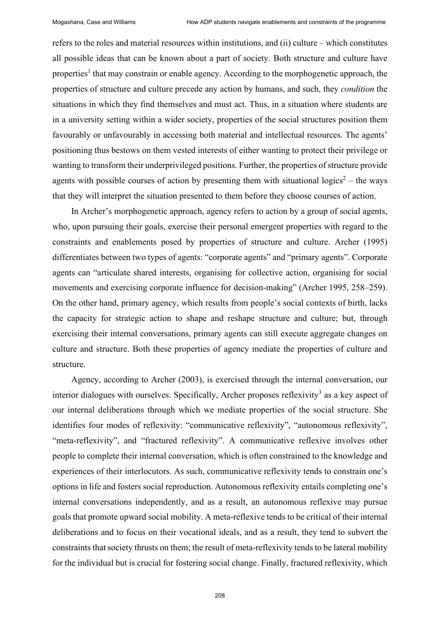refers to the roles and material resources within institutions, and (ii) culture – which constitutes all possible ideas that can be known about a part of society. Both structure and culture have properties<sup>1</sup> that may constrain or enable agency. According to the morphogenetic approach, the properties of structure and culture precede any action by humans, and such, they *condition* the situations in which they find themselves and must act. Thus, in a situation where students are in a university setting within a wider society, properties of the social structures position them favourably or unfavourably in accessing both material and intellectual resources. The agents' positioning thus bestows on them vested interests of either wanting to protect their privilege or wanting to transform their underprivileged positions. Further, the properties of structure provide agents with possible courses of action by presenting them with situational logics<sup>2</sup> – the ways that they will interpret the situation presented to them before they choose courses of action.

In Archer's morphogenetic approach, agency refers to action by a group of social agents, who, upon pursuing their goals, exercise their personal emergent properties with regard to the constraints and enablements posed by properties of structure and culture. Archer (1995) differentiates between two types of agents: "corporate agents" and "primary agents". Corporate agents can "articulate shared interests, organising for collective action, organising for social movements and exercising corporate influence for decision-making" (Archer 1995, 258–259). On the other hand, primary agency, which results from people's social contexts of birth, lacks the capacity for strategic action to shape and reshape structure and culture; but, through exercising their internal conversations, primary agents can still execute aggregate changes on culture and structure. Both these properties of agency mediate the properties of culture and structure.

Agency, according to Archer (2003), is exercised through the internal conversation, our interior dialogues with ourselves. Specifically, Archer proposes reflexivity<sup>3</sup> as a key aspect of our internal deliberations through which we mediate properties of the social structure. She identifies four modes of reflexivity: "communicative reflexivity", "autonomous reflexivity", "meta-reflexivity", and "fractured reflexivity". A communicative reflexive involves other people to complete their internal conversation, which is often constrained to the knowledge and experiences of their interlocutors. As such, communicative reflexivity tends to constrain one's options in life and fosters social reproduction. Autonomous reflexivity entails completing one's internal conversations independently, and as a result, an autonomous reflexive may pursue goals that promote upward social mobility. A meta-reflexive tends to be critical of their internal deliberations and to focus on their vocational ideals, and as a result, they tend to subvert the constraints that society thrusts on them; the result of meta-reflexivity tends to be lateral mobility for the individual but is crucial for fostering social change. Finally, fractured reflexivity, which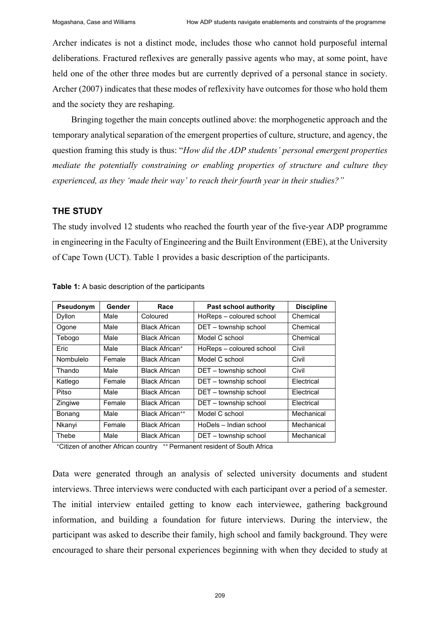Archer indicates is not a distinct mode, includes those who cannot hold purposeful internal deliberations. Fractured reflexives are generally passive agents who may, at some point, have held one of the other three modes but are currently deprived of a personal stance in society. Archer (2007) indicates that these modes of reflexivity have outcomes for those who hold them and the society they are reshaping.

Bringing together the main concepts outlined above: the morphogenetic approach and the temporary analytical separation of the emergent properties of culture, structure, and agency, the question framing this study is thus: "*How did the ADP students' personal emergent properties mediate the potentially constraining or enabling properties of structure and culture they experienced, as they 'made their way' to reach their fourth year in their studies?"*

## **THE STUDY**

The study involved 12 students who reached the fourth year of the five-year ADP programme in engineering in the Faculty of Engineering and the Built Environment (EBE), at the University of Cape Town (UCT). Table 1 provides a basic description of the participants.

| Pseudonym | Gender | Race                              | <b>Past school authority</b> | <b>Discipline</b> |
|-----------|--------|-----------------------------------|------------------------------|-------------------|
| Dyllon    | Male   | Coloured                          | HoReps - coloured school     | Chemical          |
| Ogone     | Male   | <b>Black African</b>              | DET - township school        | Chemical          |
| Tebogo    | Male   | <b>Black African</b>              | Model C school               | Chemical          |
| Eric      | Male   | Black African <sup>+</sup>        | HoReps - coloured school     | Civil             |
| Nombulelo | Female | <b>Black African</b>              | Model C school               | Civil             |
| Thando    | Male   | <b>Black African</b>              | DET - township school        | Civil             |
| Katlego   | Female | <b>Black African</b>              | DET - township school        | Flectrical        |
| Pitso     | Male   | <b>Black African</b>              | DET - township school        | Flectrical        |
| Zingiwe   | Female | <b>Black African</b>              | DET - township school        | Electrical        |
| Bonang    | Male   | <b>Black African<sup>++</sup></b> | Model C school               | Mechanical        |
| Nkanyi    | Female | <b>Black African</b>              | HoDels – Indian school       | Mechanical        |
| Thebe     | Male   | <b>Black African</b>              | DET - township school        | Mechanical        |

**Table 1:** A basic description of the participants

+Citizen of another African country ++ Permanent resident of South Africa

Data were generated through an analysis of selected university documents and student interviews. Three interviews were conducted with each participant over a period of a semester. The initial interview entailed getting to know each interviewee, gathering background information, and building a foundation for future interviews. During the interview, the participant was asked to describe their family, high school and family background. They were encouraged to share their personal experiences beginning with when they decided to study at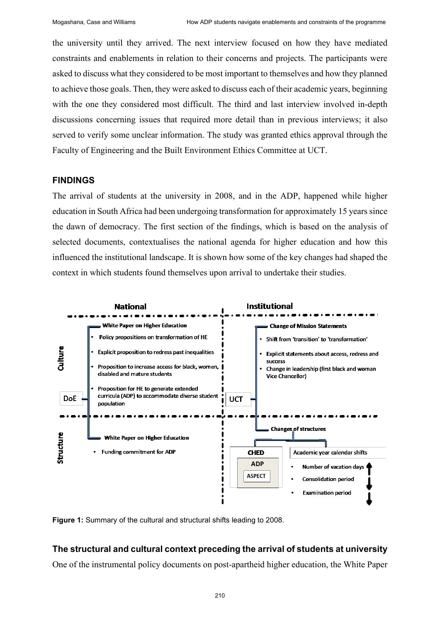the university until they arrived. The next interview focused on how they have mediated constraints and enablements in relation to their concerns and projects. The participants were asked to discuss what they considered to be most important to themselves and how they planned to achieve those goals. Then, they were asked to discuss each of their academic years, beginning with the one they considered most difficult. The third and last interview involved in-depth discussions concerning issues that required more detail than in previous interviews; it also served to verify some unclear information. The study was granted ethics approval through the Faculty of Engineering and the Built Environment Ethics Committee at UCT.

#### **FINDINGS**

The arrival of students at the university in 2008, and in the ADP, happened while higher education in South Africa had been undergoing transformation for approximately 15 years since the dawn of democracy. The first section of the findings, which is based on the analysis of selected documents, contextualises the national agenda for higher education and how this influenced the institutional landscape. It is shown how some of the key changes had shaped the context in which students found themselves upon arrival to undertake their studies.



**Figure 1:** Summary of the cultural and structural shifts leading to 2008.

## **The structural and cultural context preceding the arrival of students at university**

One of the instrumental policy documents on post-apartheid higher education, the White Paper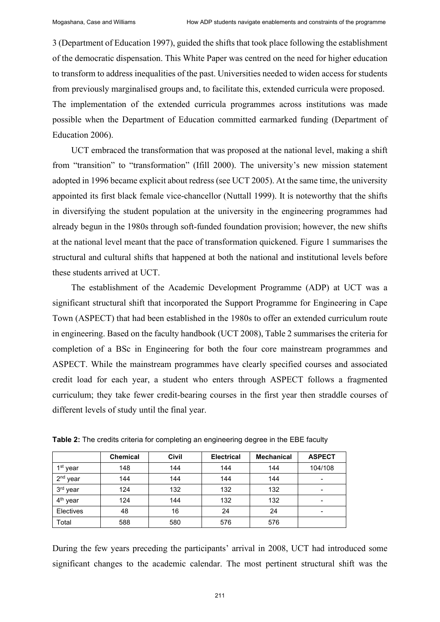3 (Department of Education 1997), guided the shifts that took place following the establishment of the democratic dispensation. This White Paper was centred on the need for higher education to transform to address inequalities of the past. Universities needed to widen access for students from previously marginalised groups and, to facilitate this, extended curricula were proposed. The implementation of the extended curricula programmes across institutions was made possible when the Department of Education committed earmarked funding (Department of Education 2006).

UCT embraced the transformation that was proposed at the national level, making a shift from "transition" to "transformation" (Ifill 2000). The university's new mission statement adopted in 1996 became explicit about redress (see UCT 2005). At the same time, the university appointed its first black female vice-chancellor (Nuttall 1999). It is noteworthy that the shifts in diversifying the student population at the university in the engineering programmes had already begun in the 1980s through soft-funded foundation provision; however, the new shifts at the national level meant that the pace of transformation quickened. Figure 1 summarises the structural and cultural shifts that happened at both the national and institutional levels before these students arrived at UCT.

The establishment of the Academic Development Programme (ADP) at UCT was a significant structural shift that incorporated the Support Programme for Engineering in Cape Town (ASPECT) that had been established in the 1980s to offer an extended curriculum route in engineering. Based on the faculty handbook (UCT 2008), Table 2 summarises the criteria for completion of a BSc in Engineering for both the four core mainstream programmes and ASPECT. While the mainstream programmes have clearly specified courses and associated credit load for each year, a student who enters through ASPECT follows a fragmented curriculum; they take fewer credit-bearing courses in the first year then straddle courses of different levels of study until the final year.

|                      | <b>Chemical</b> | Civil | <b>Electrical</b> | <b>Mechanical</b> | <b>ASPECT</b>            |
|----------------------|-----------------|-------|-------------------|-------------------|--------------------------|
| 1 <sup>st</sup> year | 148             | 144   | 144               | 144               | 104/108                  |
| $2nd$ year           | 144             | 144   | 144               | 144               | $\overline{\phantom{0}}$ |
| 3rd year             | 124             | 132   | 132               | 132               |                          |
| 4 <sup>th</sup> year | 124             | 144   | 132               | 132               |                          |
| Electives            | 48              | 16    | 24                | 24                | $\,$                     |
| Total                | 588             | 580   | 576               | 576               |                          |

**Table 2:** The credits criteria for completing an engineering degree in the EBE faculty

During the few years preceding the participants' arrival in 2008, UCT had introduced some significant changes to the academic calendar. The most pertinent structural shift was the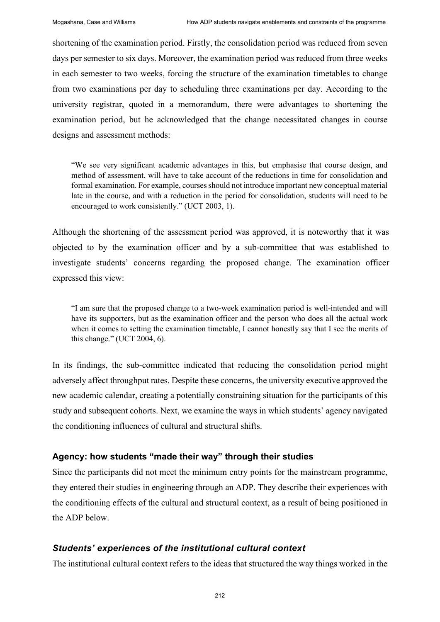shortening of the examination period. Firstly, the consolidation period was reduced from seven days per semester to six days. Moreover, the examination period was reduced from three weeks in each semester to two weeks, forcing the structure of the examination timetables to change from two examinations per day to scheduling three examinations per day. According to the university registrar, quoted in a memorandum, there were advantages to shortening the examination period, but he acknowledged that the change necessitated changes in course designs and assessment methods:

"We see very significant academic advantages in this, but emphasise that course design, and method of assessment, will have to take account of the reductions in time for consolidation and formal examination. For example, courses should not introduce important new conceptual material late in the course, and with a reduction in the period for consolidation, students will need to be encouraged to work consistently." (UCT 2003, 1).

Although the shortening of the assessment period was approved, it is noteworthy that it was objected to by the examination officer and by a sub-committee that was established to investigate students' concerns regarding the proposed change. The examination officer expressed this view:

"I am sure that the proposed change to a two-week examination period is well-intended and will have its supporters, but as the examination officer and the person who does all the actual work when it comes to setting the examination timetable, I cannot honestly say that I see the merits of this change." (UCT 2004, 6).

In its findings, the sub-committee indicated that reducing the consolidation period might adversely affect throughput rates. Despite these concerns, the university executive approved the new academic calendar, creating a potentially constraining situation for the participants of this study and subsequent cohorts. Next, we examine the ways in which students' agency navigated the conditioning influences of cultural and structural shifts.

## **Agency: how students "made their way" through their studies**

Since the participants did not meet the minimum entry points for the mainstream programme, they entered their studies in engineering through an ADP. They describe their experiences with the conditioning effects of the cultural and structural context, as a result of being positioned in the ADP below.

## *Students' experiences of the institutional cultural context*

The institutional cultural context refers to the ideas that structured the way things worked in the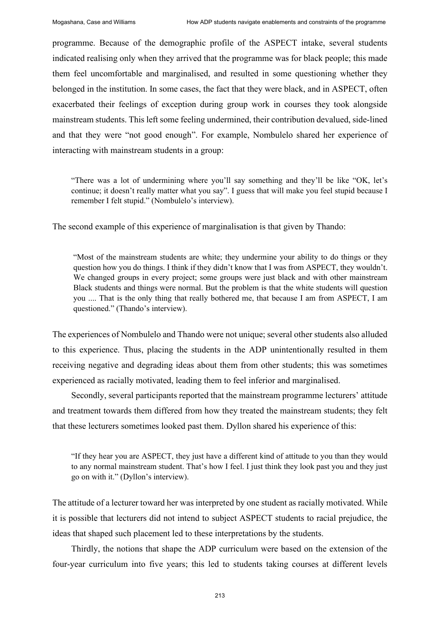programme. Because of the demographic profile of the ASPECT intake, several students indicated realising only when they arrived that the programme was for black people; this made them feel uncomfortable and marginalised, and resulted in some questioning whether they belonged in the institution. In some cases, the fact that they were black, and in ASPECT, often exacerbated their feelings of exception during group work in courses they took alongside mainstream students. This left some feeling undermined, their contribution devalued, side-lined and that they were "not good enough". For example, Nombulelo shared her experience of interacting with mainstream students in a group:

"There was a lot of undermining where you'll say something and they'll be like "OK, let's continue; it doesn't really matter what you say". I guess that will make you feel stupid because I remember I felt stupid." (Nombulelo's interview).

The second example of this experience of marginalisation is that given by Thando:

"Most of the mainstream students are white; they undermine your ability to do things or they question how you do things. I think if they didn't know that I was from ASPECT, they wouldn't. We changed groups in every project; some groups were just black and with other mainstream Black students and things were normal. But the problem is that the white students will question you .... That is the only thing that really bothered me, that because I am from ASPECT, I am questioned." (Thando's interview).

The experiences of Nombulelo and Thando were not unique; several other students also alluded to this experience. Thus, placing the students in the ADP unintentionally resulted in them receiving negative and degrading ideas about them from other students; this was sometimes experienced as racially motivated, leading them to feel inferior and marginalised.

Secondly, several participants reported that the mainstream programme lecturers' attitude and treatment towards them differed from how they treated the mainstream students; they felt that these lecturers sometimes looked past them. Dyllon shared his experience of this:

"If they hear you are ASPECT, they just have a different kind of attitude to you than they would to any normal mainstream student. That's how I feel. I just think they look past you and they just go on with it." (Dyllon's interview).

The attitude of a lecturer toward her was interpreted by one student as racially motivated. While it is possible that lecturers did not intend to subject ASPECT students to racial prejudice, the ideas that shaped such placement led to these interpretations by the students.

Thirdly, the notions that shape the ADP curriculum were based on the extension of the four-year curriculum into five years; this led to students taking courses at different levels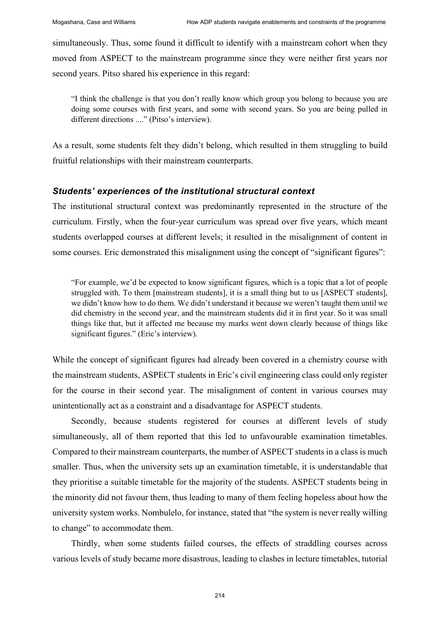simultaneously. Thus, some found it difficult to identify with a mainstream cohort when they moved from ASPECT to the mainstream programme since they were neither first years nor second years. Pitso shared his experience in this regard:

"I think the challenge is that you don't really know which group you belong to because you are doing some courses with first years, and some with second years. So you are being pulled in different directions ...." (Pitso's interview).

As a result, some students felt they didn't belong, which resulted in them struggling to build fruitful relationships with their mainstream counterparts.

### *Students' experiences of the institutional structural context*

The institutional structural context was predominantly represented in the structure of the curriculum. Firstly, when the four-year curriculum was spread over five years, which meant students overlapped courses at different levels; it resulted in the misalignment of content in some courses. Eric demonstrated this misalignment using the concept of "significant figures":

"For example, we'd be expected to know significant figures, which is a topic that a lot of people struggled with. To them [mainstream students], it is a small thing but to us [ASPECT students], we didn't know how to do them. We didn't understand it because we weren't taught them until we did chemistry in the second year, and the mainstream students did it in first year. So it was small things like that, but it affected me because my marks went down clearly because of things like significant figures." (Eric's interview).

While the concept of significant figures had already been covered in a chemistry course with the mainstream students, ASPECT students in Eric's civil engineering class could only register for the course in their second year. The misalignment of content in various courses may unintentionally act as a constraint and a disadvantage for ASPECT students.

Secondly, because students registered for courses at different levels of study simultaneously, all of them reported that this led to unfavourable examination timetables. Compared to their mainstream counterparts, the number of ASPECT students in a class is much smaller. Thus, when the university sets up an examination timetable, it is understandable that they prioritise a suitable timetable for the majority of the students. ASPECT students being in the minority did not favour them, thus leading to many of them feeling hopeless about how the university system works. Nombulelo, for instance, stated that "the system is never really willing to change" to accommodate them.

Thirdly, when some students failed courses, the effects of straddling courses across various levels of study became more disastrous, leading to clashes in lecture timetables, tutorial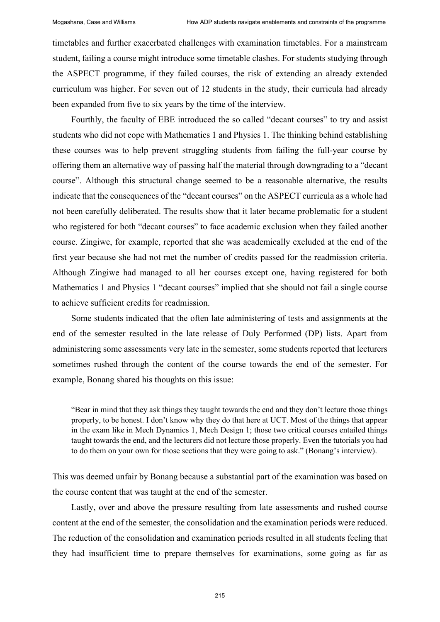timetables and further exacerbated challenges with examination timetables. For a mainstream student, failing a course might introduce some timetable clashes. For students studying through the ASPECT programme, if they failed courses, the risk of extending an already extended curriculum was higher. For seven out of 12 students in the study, their curricula had already been expanded from five to six years by the time of the interview.

Fourthly, the faculty of EBE introduced the so called "decant courses" to try and assist students who did not cope with Mathematics 1 and Physics 1. The thinking behind establishing these courses was to help prevent struggling students from failing the full-year course by offering them an alternative way of passing half the material through downgrading to a "decant course". Although this structural change seemed to be a reasonable alternative, the results indicate that the consequences of the "decant courses" on the ASPECT curricula as a whole had not been carefully deliberated. The results show that it later became problematic for a student who registered for both "decant courses" to face academic exclusion when they failed another course. Zingiwe, for example, reported that she was academically excluded at the end of the first year because she had not met the number of credits passed for the readmission criteria. Although Zingiwe had managed to all her courses except one, having registered for both Mathematics 1 and Physics 1 "decant courses" implied that she should not fail a single course to achieve sufficient credits for readmission.

Some students indicated that the often late administering of tests and assignments at the end of the semester resulted in the late release of Duly Performed (DP) lists. Apart from administering some assessments very late in the semester, some students reported that lecturers sometimes rushed through the content of the course towards the end of the semester. For example, Bonang shared his thoughts on this issue:

"Bear in mind that they ask things they taught towards the end and they don't lecture those things properly, to be honest. I don't know why they do that here at UCT. Most of the things that appear in the exam like in Mech Dynamics 1, Mech Design 1; those two critical courses entailed things taught towards the end, and the lecturers did not lecture those properly. Even the tutorials you had to do them on your own for those sections that they were going to ask." (Bonang's interview).

This was deemed unfair by Bonang because a substantial part of the examination was based on the course content that was taught at the end of the semester.

Lastly, over and above the pressure resulting from late assessments and rushed course content at the end of the semester, the consolidation and the examination periods were reduced. The reduction of the consolidation and examination periods resulted in all students feeling that they had insufficient time to prepare themselves for examinations, some going as far as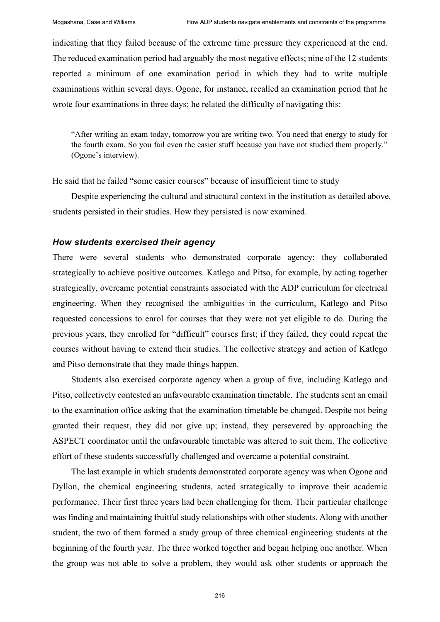indicating that they failed because of the extreme time pressure they experienced at the end. The reduced examination period had arguably the most negative effects; nine of the 12 students reported a minimum of one examination period in which they had to write multiple examinations within several days. Ogone, for instance, recalled an examination period that he wrote four examinations in three days; he related the difficulty of navigating this:

"After writing an exam today, tomorrow you are writing two. You need that energy to study for the fourth exam. So you fail even the easier stuff because you have not studied them properly." (Ogone's interview).

He said that he failed "some easier courses" because of insufficient time to study

Despite experiencing the cultural and structural context in the institution as detailed above, students persisted in their studies. How they persisted is now examined.

#### *How students exercised their agency*

There were several students who demonstrated corporate agency; they collaborated strategically to achieve positive outcomes. Katlego and Pitso, for example, by acting together strategically, overcame potential constraints associated with the ADP curriculum for electrical engineering. When they recognised the ambiguities in the curriculum, Katlego and Pitso requested concessions to enrol for courses that they were not yet eligible to do. During the previous years, they enrolled for "difficult" courses first; if they failed, they could repeat the courses without having to extend their studies. The collective strategy and action of Katlego and Pitso demonstrate that they made things happen.

Students also exercised corporate agency when a group of five, including Katlego and Pitso, collectively contested an unfavourable examination timetable. The students sent an email to the examination office asking that the examination timetable be changed. Despite not being granted their request, they did not give up; instead, they persevered by approaching the ASPECT coordinator until the unfavourable timetable was altered to suit them. The collective effort of these students successfully challenged and overcame a potential constraint.

The last example in which students demonstrated corporate agency was when Ogone and Dyllon, the chemical engineering students, acted strategically to improve their academic performance. Their first three years had been challenging for them. Their particular challenge was finding and maintaining fruitful study relationships with other students. Along with another student, the two of them formed a study group of three chemical engineering students at the beginning of the fourth year. The three worked together and began helping one another. When the group was not able to solve a problem, they would ask other students or approach the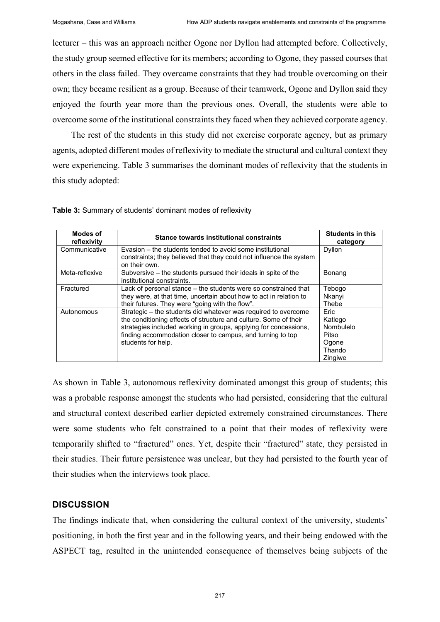lecturer – this was an approach neither Ogone nor Dyllon had attempted before. Collectively, the study group seemed effective for its members; according to Ogone, they passed courses that others in the class failed. They overcame constraints that they had trouble overcoming on their own; they became resilient as a group. Because of their teamwork, Ogone and Dyllon said they enjoyed the fourth year more than the previous ones. Overall, the students were able to overcome some of the institutional constraints they faced when they achieved corporate agency.

The rest of the students in this study did not exercise corporate agency, but as primary agents, adopted different modes of reflexivity to mediate the structural and cultural context they were experiencing. Table 3 summarises the dominant modes of reflexivity that the students in this study adopted:

**Table 3:** Summary of students' dominant modes of reflexivity

| <b>Modes of</b><br>reflexivity | <b>Stance towards institutional constraints</b>                                                                                                                                                                                                                                            | <b>Students in this</b><br>category                                        |
|--------------------------------|--------------------------------------------------------------------------------------------------------------------------------------------------------------------------------------------------------------------------------------------------------------------------------------------|----------------------------------------------------------------------------|
| Communicative                  | Evasion – the students tended to avoid some institutional<br>constraints; they believed that they could not influence the system<br>on their own.                                                                                                                                          | Dyllon                                                                     |
| Meta-reflexive                 | Subversive – the students pursued their ideals in spite of the<br>institutional constraints.                                                                                                                                                                                               | Bonang                                                                     |
| Fractured                      | Lack of personal stance – the students were so constrained that<br>they were, at that time, uncertain about how to act in relation to<br>their futures. They were "going with the flow".                                                                                                   | Tebogo<br>Nkanyi<br>Thebe                                                  |
| Autonomous                     | Strategic – the students did whatever was required to overcome<br>the conditioning effects of structure and culture. Some of their<br>strategies included working in groups, applying for concessions,<br>finding accommodation closer to campus, and turning to top<br>students for help. | <b>Fric</b><br>Katlego<br>Nombulelo<br>Pitso<br>Ogone<br>Thando<br>Zingiwe |

As shown in Table 3, autonomous reflexivity dominated amongst this group of students; this was a probable response amongst the students who had persisted, considering that the cultural and structural context described earlier depicted extremely constrained circumstances. There were some students who felt constrained to a point that their modes of reflexivity were temporarily shifted to "fractured" ones. Yet, despite their "fractured" state, they persisted in their studies. Their future persistence was unclear, but they had persisted to the fourth year of their studies when the interviews took place.

## **DISCUSSION**

The findings indicate that, when considering the cultural context of the university, students' positioning, in both the first year and in the following years, and their being endowed with the ASPECT tag, resulted in the unintended consequence of themselves being subjects of the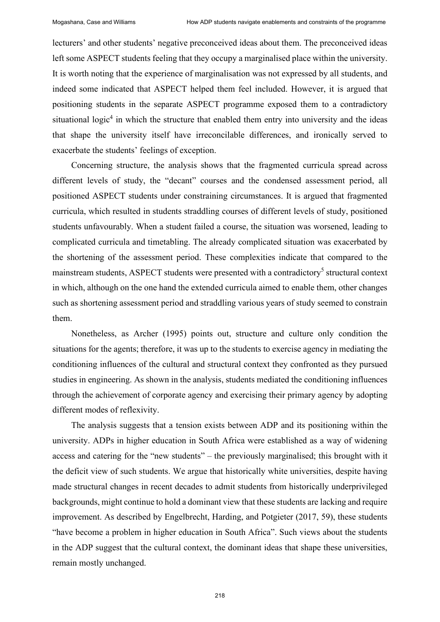lecturers' and other students' negative preconceived ideas about them. The preconceived ideas left some ASPECT students feeling that they occupy a marginalised place within the university. It is worth noting that the experience of marginalisation was not expressed by all students, and indeed some indicated that ASPECT helped them feel included. However, it is argued that positioning students in the separate ASPECT programme exposed them to a contradictory situational logic<sup>4</sup> in which the structure that enabled them entry into university and the ideas that shape the university itself have irreconcilable differences, and ironically served to exacerbate the students' feelings of exception.

Concerning structure, the analysis shows that the fragmented curricula spread across different levels of study, the "decant" courses and the condensed assessment period, all positioned ASPECT students under constraining circumstances. It is argued that fragmented curricula, which resulted in students straddling courses of different levels of study, positioned students unfavourably. When a student failed a course, the situation was worsened, leading to complicated curricula and timetabling. The already complicated situation was exacerbated by the shortening of the assessment period. These complexities indicate that compared to the mainstream students, ASPECT students were presented with a contradictory<sup>5</sup> structural context in which, although on the one hand the extended curricula aimed to enable them, other changes such as shortening assessment period and straddling various years of study seemed to constrain them.

Nonetheless, as Archer (1995) points out, structure and culture only condition the situations for the agents; therefore, it was up to the students to exercise agency in mediating the conditioning influences of the cultural and structural context they confronted as they pursued studies in engineering. As shown in the analysis, students mediated the conditioning influences through the achievement of corporate agency and exercising their primary agency by adopting different modes of reflexivity.

The analysis suggests that a tension exists between ADP and its positioning within the university. ADPs in higher education in South Africa were established as a way of widening access and catering for the "new students" – the previously marginalised; this brought with it the deficit view of such students. We argue that historically white universities, despite having made structural changes in recent decades to admit students from historically underprivileged backgrounds, might continue to hold a dominant view that these students are lacking and require improvement. As described by Engelbrecht, Harding, and Potgieter (2017, 59), these students "have become a problem in higher education in South Africa". Such views about the students in the ADP suggest that the cultural context, the dominant ideas that shape these universities, remain mostly unchanged.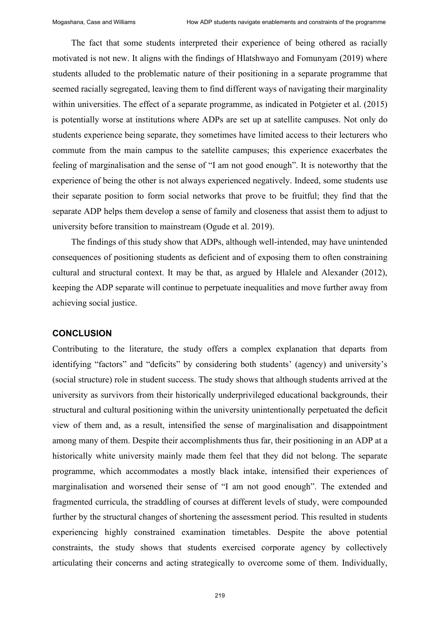The fact that some students interpreted their experience of being othered as racially motivated is not new. It aligns with the findings of Hlatshwayo and Fomunyam (2019) where students alluded to the problematic nature of their positioning in a separate programme that seemed racially segregated, leaving them to find different ways of navigating their marginality within universities. The effect of a separate programme, as indicated in Potgieter et al. (2015) is potentially worse at institutions where ADPs are set up at satellite campuses. Not only do students experience being separate, they sometimes have limited access to their lecturers who commute from the main campus to the satellite campuses; this experience exacerbates the feeling of marginalisation and the sense of "I am not good enough". It is noteworthy that the experience of being the other is not always experienced negatively. Indeed, some students use their separate position to form social networks that prove to be fruitful; they find that the separate ADP helps them develop a sense of family and closeness that assist them to adjust to university before transition to mainstream (Ogude et al. 2019).

The findings of this study show that ADPs, although well-intended, may have unintended consequences of positioning students as deficient and of exposing them to often constraining cultural and structural context. It may be that, as argued by Hlalele and Alexander (2012), keeping the ADP separate will continue to perpetuate inequalities and move further away from achieving social justice.

#### **CONCLUSION**

Contributing to the literature, the study offers a complex explanation that departs from identifying "factors" and "deficits" by considering both students' (agency) and university's (social structure) role in student success. The study shows that although students arrived at the university as survivors from their historically underprivileged educational backgrounds, their structural and cultural positioning within the university unintentionally perpetuated the deficit view of them and, as a result, intensified the sense of marginalisation and disappointment among many of them. Despite their accomplishments thus far, their positioning in an ADP at a historically white university mainly made them feel that they did not belong. The separate programme, which accommodates a mostly black intake, intensified their experiences of marginalisation and worsened their sense of "I am not good enough". The extended and fragmented curricula, the straddling of courses at different levels of study, were compounded further by the structural changes of shortening the assessment period. This resulted in students experiencing highly constrained examination timetables. Despite the above potential constraints, the study shows that students exercised corporate agency by collectively articulating their concerns and acting strategically to overcome some of them. Individually,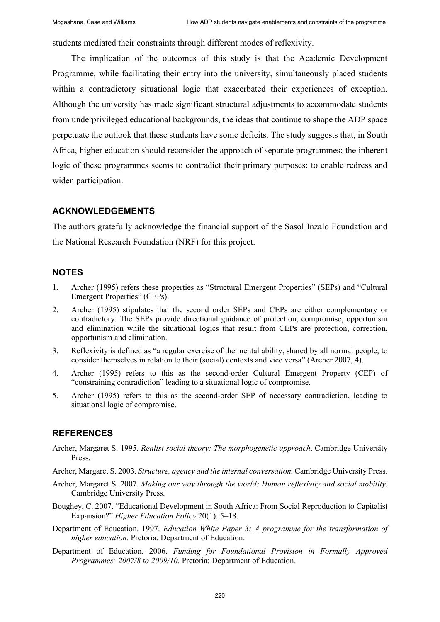students mediated their constraints through different modes of reflexivity.

The implication of the outcomes of this study is that the Academic Development Programme, while facilitating their entry into the university, simultaneously placed students within a contradictory situational logic that exacerbated their experiences of exception. Although the university has made significant structural adjustments to accommodate students from underprivileged educational backgrounds, the ideas that continue to shape the ADP space perpetuate the outlook that these students have some deficits. The study suggests that, in South Africa, higher education should reconsider the approach of separate programmes; the inherent logic of these programmes seems to contradict their primary purposes: to enable redress and widen participation.

## **ACKNOWLEDGEMENTS**

The authors gratefully acknowledge the financial support of the Sasol Inzalo Foundation and the National Research Foundation (NRF) for this project.

# **NOTES**

- 1. Archer (1995) refers these properties as "Structural Emergent Properties" (SEPs) and "Cultural Emergent Properties" (CEPs).
- 2. Archer (1995) stipulates that the second order SEPs and CEPs are either complementary or contradictory. The SEPs provide directional guidance of protection, compromise, opportunism and elimination while the situational logics that result from CEPs are protection, correction, opportunism and elimination.
- 3. Reflexivity is defined as "a regular exercise of the mental ability, shared by all normal people, to consider themselves in relation to their (social) contexts and vice versa" (Archer 2007, 4).
- 4. Archer (1995) refers to this as the second-order Cultural Emergent Property (CEP) of "constraining contradiction" leading to a situational logic of compromise.
- 5. Archer (1995) refers to this as the second-order SEP of necessary contradiction, leading to situational logic of compromise.

# **REFERENCES**

- Archer, Margaret S. 1995. *Realist social theory: The morphogenetic approach*. Cambridge University Press.
- Archer, Margaret S. 2003. *Structure, agency and the internal conversation.* Cambridge University Press.
- Archer, Margaret S. 2007. *Making our way through the world: Human reflexivity and social mobility*. Cambridge University Press.
- Boughey, C. 2007. "Educational Development in South Africa: From Social Reproduction to Capitalist Expansion?" *Higher Education Policy* 20(1): 5–18.
- Department of Education. 1997. *Education White Paper 3: A programme for the transformation of higher education*. Pretoria: Department of Education.
- Department of Education. 2006. *Funding for Foundational Provision in Formally Approved Programmes: 2007/8 to 2009/10.* Pretoria: Department of Education.